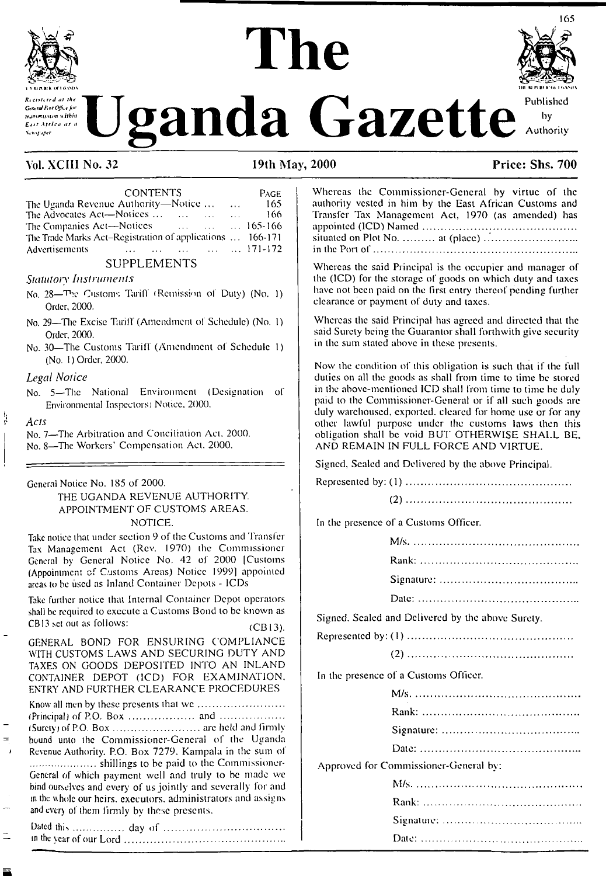

# **The**



## **V** ganda Gazette

## Vol. XCIII No. 32 19th May, 2000 Price: Shs. 700

| <b>CONTENTS</b>                                           | PAGE  |
|-----------------------------------------------------------|-------|
| The Uganda Revenue Authority—Notice                       | - 165 |
| The Advocates Act—Notices                                 | 166   |
| The Companies Act-Notices<br>$\ldots$ $\ldots$ 165-166    |       |
| The Trade Marks Act-Registration of applications  166-171 |       |
| 171-172<br>Advertisements                                 |       |
| <b>SUPPLEMENTS</b>                                        |       |

## *Statutory Instruments*

- No. <sup>28</sup>—Customs Tariff (Remission of Duty) (No. 1) Order, 2000.
- No. 29—The Excise Tariff (Amendment of Schedule) (No. I) Order, 2000.
- No. 30—The Customs Tariff (Amendment of Schedule 1) (No. 1) Order, 2000.

## *Legal Notice*

No. 5—The National Environment (Designation of Environmental Inspectors) Notice. 2000.

### *Acts*

þ

No. 7—The Arbitration and Conciliation Act. 2000.

No. 8—The Workers' Compensation Act. 2000.

### General Notice No. 185 of 2000.

## THE UGANDA REVENUE AUTHORITY. APPOINTMENT OF CUSTOMS AREAS. NOTICE.

Take notice that under section 9 of the Customs and Transfer Tax Management Act (Rev. 1970) the Commissioner General by General Notice No. 42 of 2000 [Customs (Appointment of Customs Areas) Notice 1999] appointed areas io be used as Inland Container Depots - ICDs

Take further notice that Internal Container Depot operators shall be required to execute a Customs Bond to be known as CB13 set out as follows:  $(CB13)$ .

GENERAL BOND FOR ENSURING COMPLIANCE WITH CUSTOMS LAWS AND SECURING DUTY AND TAXES ON GOODS DEPOSITED INTO AN INLAND CONTAINER DEPOT (ICD) FOR EXAMINATION. ENTRY AND FURTHER CLEARANCE PROCEDURES Know all men by these presents that wc.................................... (Principal) of P.O. Box ........................... and ........................... (Surety) of P.O. Box......................................arc held and firmly bound unto the Commissioner-General of the Uganda Revenue Authority. P.O. Box 7279. Kampala in lhe sum of ...........................shillings to be paid to the Commissioner-

General of which payment well and truly to be made wc bind ourselves and every of us jointly and severally for and in the whole our heirs, executors, administrators and assigns and every of them firmly by these presents.

Dated thii..................... day of ................................................... in the year of our Lord...................................................................

| Whereas the Commissioner-General by virtue of the<br>authority vested in him by the East African Customs and |
|--------------------------------------------------------------------------------------------------------------|
| Transfer Tax Management Act, 1970 (as amended) has                                                           |
|                                                                                                              |

Whereas the said Principal is the occupier and manager of the (ICD) for the storage of goods on which duty and taxes have not been paid on the first entry thereof pending further clearance or payment of duly and taxes.

Whereas the said Principal has agreed and directed that the said Surety being the Guarantor shall forthwith give security in the sum stated above in these presents.

Now the condition of this obligation is such that if the full duties on all the goods as shall from time to time be stored in the above-mentioned ICD shall from time to time be duly paid to lhe Commissioner-General or if all such goods are duly warehoused, exported, cleared for home use or for any other lawful purpose under the customs laws then this obligation shall be void BUT OTHERWISE SHALL BE. AND REMAIN IN FULL FORCE AND VIRTUE.

Signed, Sealed and Delivered by the above Principal.

Represented by: (1).....................................................................

|--|

In lhe presence of a Customs Officer

Signed. Scaled and Delivered by the above Surety.

|--|--|--|--|--|--|--|

In the presence of a Customs Officer.

| Approved for Commissioner-General by: |
|---------------------------------------|
|                                       |
|                                       |
|                                       |
|                                       |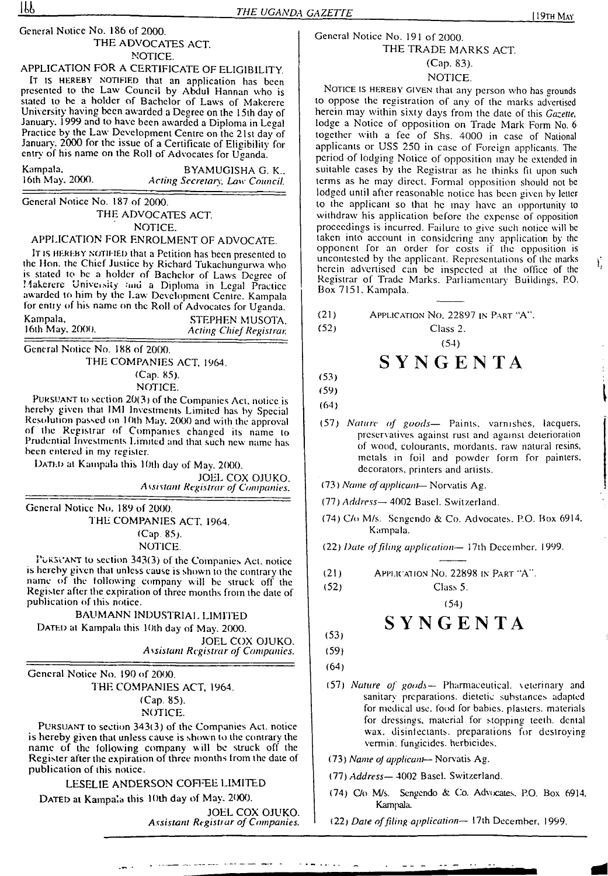## General Notice No. 186 of 2000.

## THE ADVOCATES ACT NOTICE.

APPLICATION FOR A CERTIFICATE OF ELIGIBILITY. IT is HEREBY NOTIFIED that an application has been presented to the Law Council by Abdul Hannan who is stated to be a holder of Bachelor of Laws of Makerere University having been awarded a Degree on the 15ih day of January. 1999 and to have been awarded a Diploma in Legal Practice by the Law Development Centre on the 21st day of January. 2000 for the issue of a Certificate of Eligibility for entry of his name on the Roll of Advocates for Uganda.

| Kampala,        | BYAMUGISHA G. K.,              |
|-----------------|--------------------------------|
| 16th May. 2000. | Acting Secretary, Law Council. |

General Notice No. 187 of 2000. THE ADVOCATES ACT. NOTICE.

## APPLICATION FOR ENROLMENT OF ADVOCATE.

It is HEREBY NOTIFIED that a Petition has been presented to the Hon. the Chief Justice by Richard Tukachungurwa who is stated to be a holder of Bachelor of Laws "Degree of Makerere University auu a Diploma in Legal Practice awarded to him by the Law Development Centre. Kampala for cntiy of his name on the Roll of Advocates for Uganda.

| Kampala,        | STEPHEN MUSOTA,                |
|-----------------|--------------------------------|
| 16th May, 2000. | <b>Acting Chief Registrar.</b> |

General Notice No. 188 of 2000. THE COMPANIES ACT, 1964. (Cap. 85). NOTICE.

Pursuant to section 20(3) of the Companies Act. notice is hereby given that IMI Investments Limited has by Special Resolution passed on 10th May. 2000 and with the approval of the Registrar of Companies changed its name to Prudential Investments Limited and that such new name has been entered in my register.

DATED at Kampala this 10th day of May. 2000.

JOEL COX OJUKO. *Assistant Registrar of Companies.*

General Notice No. 189 of 2000. THE COMPANIES ACT, 1964. (Cap 85). NOTICE.

PURSUANT to section 343(3) of the Companies Act. notice is hereby given that unless cause is shown to the contrary the name of the following company will be struck off the Register after the expiration of three months from the date of publication of this notice.

BAUMANN INDUSTRIAL LIMITED

DATED at Kampala this 10th day of May. 2000.

JOEL COX OJUKO. *Assistant Registrar of Companies.*

General Notice No. 190 of 2000. THE COMPANIES ACT, 1964.

(Cap. 85).

NOTICE.

Pursuant to section 343(3) of the Companies Act. notice is hereby given that unless cause is shown to the contrary the name of the following company will be struck off the Register after the expiration of three months from the date of publication of this notice.

LESELIE ANDERSON COFFEE LIMITED

DATED at Kampala this 10th day of May. 2000.

JOEL COX OJUKO. *Assistant Registrar of Companies.*

## General Notice No. 191 of 2000. THE TRADE MARKS ACT. (Cap. 83).

## NOTICE.

NOTICE IS HEREBY GIVEN that any person who has grounds to oppose the registration of any of the marks advertised herein may within sixty days from the date of this *Gazette,* lodge a Notice of opposition on Trade Mark Form No. 6 together with a fee of Shs. 4000 in case of National applicants or USS 250 in case of Foreign applicants. The period of lodging Notice of opposition may be extended in suitable cases by the Registrar as he thinks fit upon such terms as he may direct. Formal opposition should not be lodged until after reasonable notice has been given by letter to the applicant so that he may have an opportunity to withdraw his application before the expense of opposition proceedings is incurred. Failure to give such notice will be taken into account in considering any application by the opponent for an order for costs if the opposition is uncontested by the applicant. Representations of the marks herein advertised can be inspected at the office of the Registrar of Trade Marks. Parliamentary Buildings, P.O. Box 7151. Kampala.

| (21) | APPLICATION NO. 22897 IN PART "A". |  |
|------|------------------------------------|--|
|------|------------------------------------|--|

(52) Class 2. (54)

## **SYNGENTA**

(53) (59)

(64)

- (57) *Nature of goods—* Paints, varnishes, lacquers, preservatives against rust and against deterioration of wood, colourants, mordants, raw natural resins, metals in foil and powder form for painters, decorators, printers and artists.
- (73) *Name ofapplicant—* Norvatis Ag.
- (77) *Address—* 4002 Basel. Switzerland.
- (74) C/o M/s. Scngendo & Co. Advocates. P.O. Box 6914, Kampala.
- (22) *Date offiling application—* 17th December. 1999.
- Application No. 22898 in Part "A". (21)
- (52)

Class 5. (54)

## **SYNGENTA**

(53) (59)

(64)

- (57) *Nature of goods—* Pharmaceutical, \eicrinary and sanitary preparations, dietetic substances adapted for medical use. food for babies, plasters, materials for dressings, material for stopping teeth, denial wax. disinlectants. preparations for destroying vermin: fungicides, herbicides.
- (73) *Name oj applicant* Norvatis Ag.
- (77) *Address—* 4002 Basci. Switzerland.
- (74) C/o M/s. Scngendo & Co. Advocates. P.O. Box 6914. Kampala.
- (22) *Date offding application—* 17th December, 1999.

Ÿ,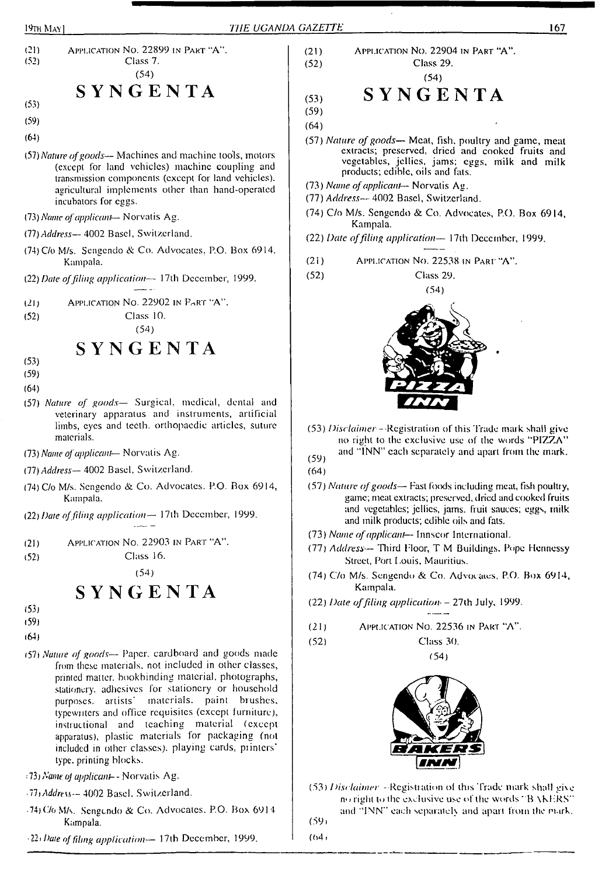



- (64)
- <57) *Nature of goods—* Paper, cardboard and goods made from these materials, not included in other classes, printed matter, bookbinding material, photographs, .<br>stationery, adhesives for stationery or household purposes, artists' materials, paint brushes, typewriters and office requisites (except furniture), instructional and teaching material (except apparatus), plastic materials for packaging (not included in other classes), playing cards, printers' type, printing blocks.
- ;73) *Nameoj applicant--* Norvalis Ag.
- *• ThAddress—* 4002 Basel. Switzerland.
- 74)C/gMA. Sengendo & Co. Advocates. P.O. Box 6914 Kampala.
- *Ilf Date offdmg application—* 17th December, 1999.

## (21) Application No. 22904 in Part "A". (52) Class 29.

(54)

$$
\begin{array}{cc}\n\text{(53)} & \text{S } \text{Y} \text{N } \text{G } \text{E } \text{N } \text{T} \text{A}\n\end{array}
$$

- (59) (64)
- (57) *Nature ofgoods—* Meat, fish, poultry and game, meal extracts; preserved, dried and cooked fruits and vegetables, jellies, jams; eggs, milk and milk products; edible, oils and fats.
- (73) *Name, ofapplicant—* Norvalis Ag.
- (77) *Address—* 4002 Basci, Switzerland.
- (74) C/o M/s. Scngendo & Co. Advocates, P.O. Box 6914, Kampala.
- (22) *Date offiling application—* <sup>1</sup>7th December, 1999.
- (21) Application No. 22538 in <sup>P</sup>art "A".
- (52) Class 29.



- (53) *Disclaimer <sup>~</sup>* Registration of this Trade mark shall give no right to the exclusive use of the words ''PIZZA" and "INN" each separately and apart from the mark.
- $(59)$ (64)
- (57) *Nature ofgoods—* Fast foods including meal, fish poullty, game; meat extracts; preserved, dried and cooked fruits and vegetables; jellies, jams, fruit sauces; eggs, milk and milk products; edible oils and fats.
- (73) *Name ofapplicant—* Innscor International.
- (77) *Address—* Third Floor, T M Buildings. Pope Hennessy Street, Port Louis, Mauritius.
- (74) C7o M/s. Sengendo & Co. Advocates. P.O. Box 6914, Kampala.
- (22) *Date offiling application- -* 27lh July, 1999.
- (21) Application No. 22536 in Part "A".
- (52) Class 30.

(54)



(53) *Disclaimer* - Registiation ol this Trade mark shall gi\c no right to lhe exclusive use of the words ' B \KI-RS" and "INN" each separately and apart from the mark. (59»

 $(64.$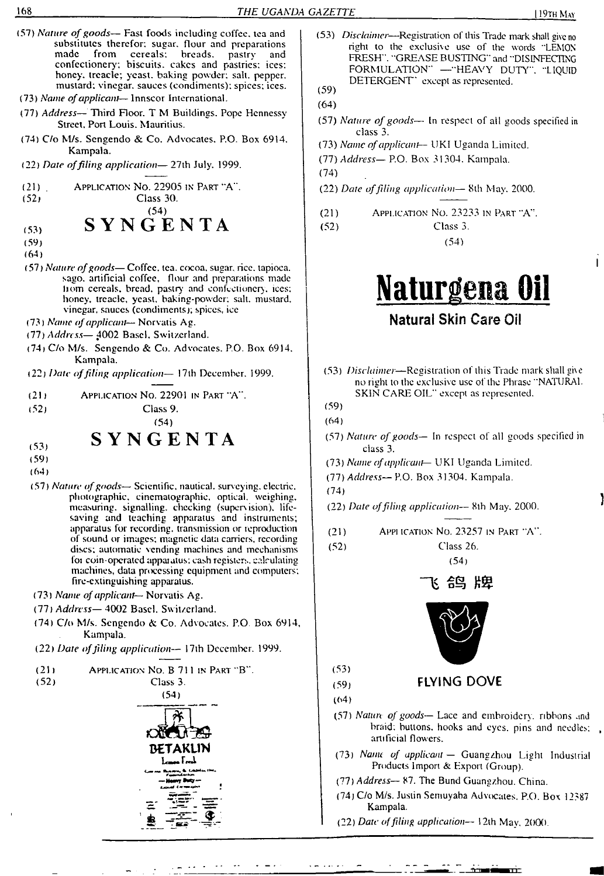(57) *Nature ofgoods—* Fast foods including coffee, tea and (53) *Disclaimer*—Registration of this Trade mark shall give no substitutes therefor; sugar, flour and preparations made from cereals; breads, pastry and right to lhe exclusive use of the words "LEMOS breads. pastry FRESH". "GREASE BUSTING" and "DISINFECTING confectionery'; biscuits, cakes and pastries: ices: FORMULATION" —"HEAVY DUTY". "LIQUID honey, treacle; yeast, baking powder; salt, pepper, DETERGENT' except as represented. mustard; vinegar, sauces (condiments); spices; ices. (59) (73) *Name ofapplicant*— Innscor International. (64) (77) *Address—*Third Floor. T <sup>M</sup> Buildings. Pope Hennessy (57) *Nature ofgoods—* In respect of all goods specified in Street. Port Louis. Mauritius. class 3. (74) C/o M/s. Sengendo & Co. Advocates. P.O. Box 6914. (73) *Name ofapplicant—* UKI Uganda Limited. Kampala. (77) *Address—*P.O. Box 31304. Kampala. (22) *Date offiling application—* 27th July. 1999. (74) Application No. 22905 in Part "A". (21) (22) *Date offding application—* Sth May. 2000. Class 30. (52) (54) (21) Application No. 23233 in Part "A". **SYNGENTA** (52) Class 3. (53) (54) (59) (64) (57) *Nature ofgoods—* Coffee, lea. cocoa, sugar, rice, tapioca, sago, artificial coffee, flour and preparations made **Natiirgena Oil** hom cereals, bread, pastry and confectionery, ices; honey, treacle, yeast, baking-powder; salt, mustard, vinegar, sauces (condiments); spices, ice **Natural Skin Care Oil** (73) *Name ofapplicant—* Norvalis Ag. (77) *Address—* ^002 Basci. Switzerland. (74) C/o M/s. Sengendo & Co. Advocates. P.O. Box 69)4. Kampala. (53) *Disclaimer—*Registration of this Trade mark shall gi\e (22) *Date offiling application—* <sup>1</sup>7th December. 1999. no right to lhe exclusive use of the Phrase "NATURAL SKIN CARE OIL" except as represented. (2)) Application No. 22901 in Part "A". (59) (52) Class 9. (54) (64) SYNGENTA (57) *Nature ofgoods—* In respect of all goods specified in (53) class 3. (59) (73) *Name ofapplicant—* UKI Uganda Limited. (64) (77) *Address—* P.O. Box 31 304. Kampala. (57) *Nature ofgoods—* Scientific, nautical, sun eying, electric, (74) photographic, cinematographic, optical, weighing, (22) *Date offding application—* 8th May. 2000. measuring, signalling, checking (supers ision). lifesaving and teaching apparatus and instruments; apparatus for recording, transmission or reproduction (21) Appi ication No. 23257 in Part "A". of sound or images; magnetic data carriers, recording (52) Class 26. discs; automatic vending machines and mechanisms foi coin-operated appaiatus; cash registers, calculating (54) machines, data processing equipment and computers; fire-extinguishing apparatus. 长 名鸟 片里 (73) *Name ofapplicant—* Norvalis Ag. (77) *Address—* 4002 Basel. Switzerland. (74) C/o M/s. Sengendo & Co. Advocates. P.O Box 6914, Kampala. (22) *Date offiling application—* 17th December. 1999. (53) (21) Application No. B 711 in Part "B". (59) **FLYING DOVE** (52) Class 3. (54) (64) (57) *Nature of goods—* Lace and embroidery, ribbons and braid; buttons, hooks and eyes, pins and needles; artificial flowers. **BETAKLIN** (73) *Name of applicant —* Guangzhou Light Industrial **IcaM FtcA** Products Import &. Export (Group). (77) *Address—* 87. The Bund Guangzhou. China. (74) C/o M/s. Justin Semuyaba Advocates. P.O. Box 12387 Kampala. (22) *Date offding application—* <sup>1</sup>2th Mav, 2000.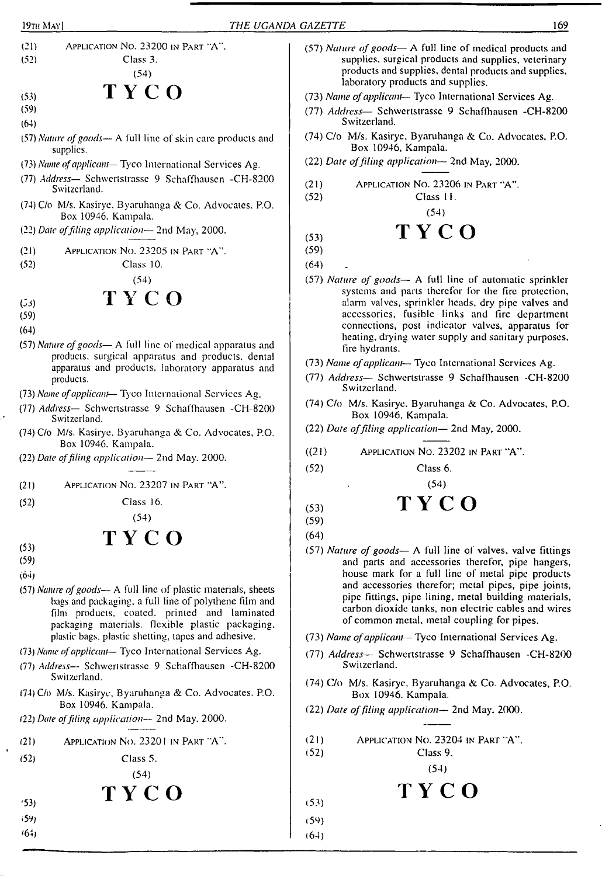

- (64)
- (57) *Nature ofgoods—* A full line of skin care products and supplies.
- (73) *Name ofapplicant—* Tyco International Services Ag.
- (77) *Address—* Schwertstrassc 9 Schaffhausen -CH-8200 Switzerland.
- (74) C/o M/s. Kasirye. Byaruhanga & Co. Advocates. P.O. Box 10946. Kampala.
- (22) *Date offding application—* 2nd May, 2000.
- (21) Application No. 23205 in Part "A". Class 10.
- (52)

(54)

## **TYCO**

 $(53)$ (59)

(64)

- (57) *Nature ofgoods—* A full line of medical apparatus and products, surgical apparatus and products, dental apparatus and products, laboratory apparatus and products.
- (73) *Name ofapplicant—* Tyco International Services Ag.
- (77) *Address—* Schwertstrassc 9 Schaffhausen -CH-8200 Switzerland.
- (74) C/o M/s. Kasirye. Byaruhanga & Co. Advocates, P.O. Box 10946. Kampala.
- (22) *Date offiling application—* 2nd May. 2000.
- (2!) Application No. 23207 in Part "A".
- (52) Class 16.

(54)

## TY CO

(53) (59)

> '53; ■59)  $(64)$

 $(64)$ 

- (57) *Nature ofgoods—* A full line of plastic materials, sheets bags and packaging, a full line of polythene film and film products, coated, printed and laminated packaging materials, flexible plastic packaging, plastic bags, plastic shetting, tapes and adhesive.
- (73) *Name ofapplicant—* Tyco International Services Ag.
- (77) *Address—* Schwertstrassc 9 Schaffhausen -CH-8200 Switzerland.
- (74) C/o M/s. Kasirye, Byaruhanga & Co. Advocates. P.O. Box 10946. Kampala.
- (22) *Date offiling application—* 2nd May, 2000.
- $(21)$ APPLICATION NO. 23201 IN PART "A".
- (52) Class 5.

(54)

TY CO

- (57) *Nature ofgoods—* A full line of medical products and supplies, surgical products and supplies, veterinary products and supplies, dental products and supplies, laboratory products and supplies.
- (73) *Name ofapplicant* Tyco International Services Ag.
- (77) *Address—* Schwertstrassc 9 Schaffhausen -CH-8200 Switzerland.
- (74) C/o M/s. Kasirye. Byaruhanga & Co. Advocates, P.O. Box 10946, Kampala.
- (22) *Date offiling application*—■ 2nd May, 2000.
- (21) (52) Application No. 23206 in Part "A".

Class 11. (54)

## $(TY C)$

(59)

(64)

- (57) *Nature of goods—* A full line of automatic sprinkler systems and parts therefor for the fire protection, alarm valves, sprinkler heads, dry pipe valves and accessories, fusible links and fire department connections, post indicator valves, apparatus for heating, drying water supply and sanitary purposes, fire hydrants.
- (73) *Name ofapplicant* Tyco International Services Ag.
- (77) *Address—* Schwertstrassc 9 Schaffhausen -CH-8200 Switzerland.
- (74) C/o M/s. Kasirye. Byaruhanga & Co. Advocates, P.O. Box 10946, Kampala.

(54)

- (22) *Date offiling application—* 2nd May, 2000.
- $((21)$ Application No. 23202 in Part "A".
- (52) Class 6.

$$
(53) \hspace{1cm} \textbf{T} \hspace{1mm} \textbf{Y} \hspace{1mm} \textbf{C} \hspace{1mm} \textbf{O}
$$

- (59)
- (64)

(52)

(53) (59) (64)

- (57) *Nature of goods—* A full line of valves, valve fittings and parts and accessories therefor, pipe hangers, house mark for a full line of metal pipe products and accessories therefor; metal pipes, pipe joints, pipe fittings, pipe lining, metal building materials, carbon dioxide tanks, non electric cables and wires of common metal, metal coupling for pipes.
- (73) *Name ofapplicant—* Tyco International Services Ag.
- (77) *Address—* Schwertstrassc 9 Schaffhausen -CH-8200 Switzerland.
- (74) C/o M/s. Kasirye. Byaruhanga & Co. Advocates, P.O. Box 10946. Kampala.
- (22) *Date offiling application—* 2nd May. 2000.
- (21) Application No. 23204 in <sup>P</sup>art 'A".

Class 9.

(54)

$$
\mathbf{T}\mathbf{Y}\mathbf{C}\mathbf{O}
$$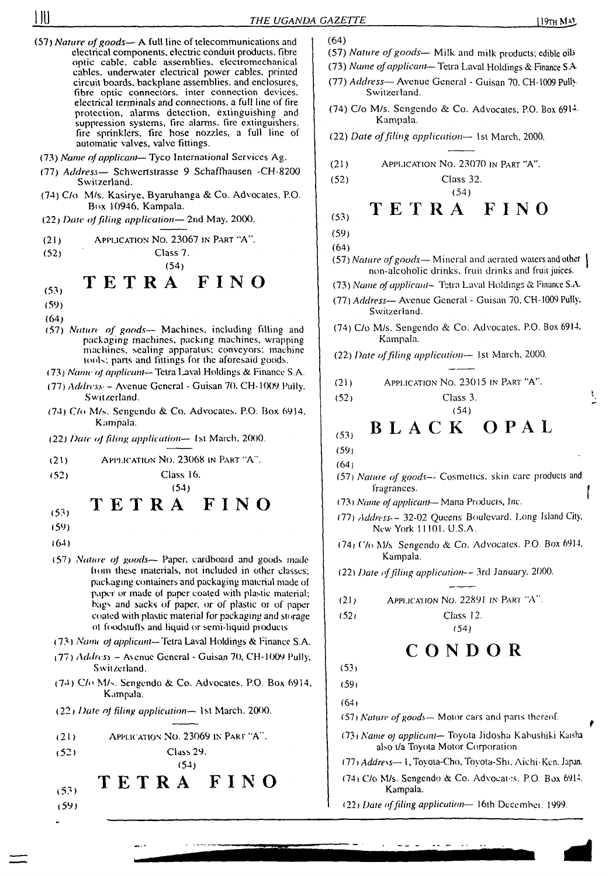(64)

- 
- (57) *Nature of goods* A full line of telecommunications and electrical components, electric conduit products, fibre optic cable, cable assemblies, electromechanical cables, underwater electrical power cables, printed circuit boards, backplane assemblies, and enclosures, fibre optic connectors, inter connection devices, electrical terminals and connections, a full line of fire protection, alarms detection, extinguishing and suppression systems, fire alarms, fire extinguishers, fire sprinklers, fire hose nozzles, a full line of automatic valves, valve fittings.
- (73) *Name ofapplicant—* Tyco International Services Ag.
- (77) *Address—* Schwcrtstrasse 9 Schaffhausen -CH-8200 Switzerland.
- (74) C/o M/s. Kasirye, Byaruhanga & Co. Advocates. P.O. Box 10946, Kampala.
- (22) *Date offiling application—* 2nd May. 2000.
- (21) Application No. 23067 in Part "A".
- (52)

Class 7. (54)

## TETRA FINO

- (53)
- (59)
- (64)
- (57) *Nature of goods—* Machines, including filling and packaging machines, packing machines, wrapping machines, scaling apparatus; conveyors; machine tools; pans and fittings for lhe aforesaid goods.
- (73) *Name oj applicant—*Tetra lutval Holdings & Finance S.A.
- (77) *Address- -* Avenue General Guisan 70, CH-1009 Pully. Switzerland.
- (74) C/o M/s. Sengendo & Co. Advocates. P.O. Box 6914. Kampala.

Class 16.

- (22) *Date oj filing application—* 1st March. 2000.
- (21) Application No. 23068 in Part "A".

- (54) **TETRA FINO**
- (53)

(52)

- (59)
- (64)
- (57) *Nairne of goods—* Paper, cardboard and goods made from these materials, not included in other classes; packaging containers and packaging material made of paper or made of paper coated with plastic material; bags and sacks of paper, or of plastic or of paper coated with plastic material for packaging and storage ol foodstuffs and liquid or semi-liquid products
- (73) *Nanu o] applicant—* Tetra Laval Holdings & Finance S.A.
- (77) *Address ~* Axenue General Guisan 70, CH-1009 Pully. Switzerland.
- (74) C/o M/s. Sengendo & Co. Advocates. P.O. Box 6914, Kampala.
- (22 <sup>j</sup> *Date oj filing application—* 1st March. 2000.
- (21) Application No. 23069 in Part 'A".
- (52) Class 29.
	- **FINO** TETRA

(54)

 $(53)$ 

- 
- (57) *Nature of goods* Milk and milk products; edible oil<sup>5</sup>
- (73) *Name ofapplicant—* Tetra Laval Holdings & Finance SA
- (77) *Address—* Avenue Genera) Guisan 70. CH-1009 Pull)- Switzerland.
- (74) C/o M/s. Sengendo & Co. Advocates, P.O. Box 6914- Kampala.
- (22) *Date offiling application—* 1st March, 2000.
- (21) Application No. 23070 in Part "A".

**(53) TETRA FINO**

```
(59)
```
- (64)
- (57) *Nature ofgoods—* Mineral and aerated waters and other non-alcoholic drinks, fruit drinks and fruit juices.
- (73) *Name ofapplicant-* Tetra Laval Holdings & Finance S.A.
- (77) *Address* Avenue General Guisan 70, CH-1009 Pully. Switzerland.
- (74) C/o M/s. Sengendo & Co. Advocates. P.O. Box 6914, Kampala.
- (22) *Date offiling application—* 1st March, 2000.
- (21) Application No. 23015 in Part "A".
- (52) Class 3.

### (54) **BLACK** OPAL  $(53)$

- (59)
- (64)
- (57) *Nature of goods—* Cosmcucs. skin care products and fragrances.
- (73) *Name of applicant* Mana Products, Inc.
- (77) *Address--* 32-02 Queens Boulevard. Long Island City, New York 11101. U.S.A.
- (74) f7o M/s Sengendo & Co. Advocates. P.O. Box 6914. Kampala.

(22) *Date offiling application—* 3rd January. 2000.

(21) Application No. 22891 in Pari "A".

(52» Class 12. (54)

## **CONDOR**

(59)

 $(64)$ 

(57) *Nature ofgoods—* Motor cars and parts thereof.

- (73i *Name oj applicant—* Toyota Jidosha Kabushiki Kaisha also t/a Toyota Motor Corporation.
- *Oh Address—* 1, Toyota-Cho, Toyota-Shi. Aichi-Ken. Japan.
- (74) C/o M/s. Sengendo & Co. Advocates. P.O. Box 6914. Kampala.
- (59) (22) *Date offiling application* 16th Dccembei. 1999.

<sup>(52)</sup> Class 32. (54)

<sup>(53)</sup>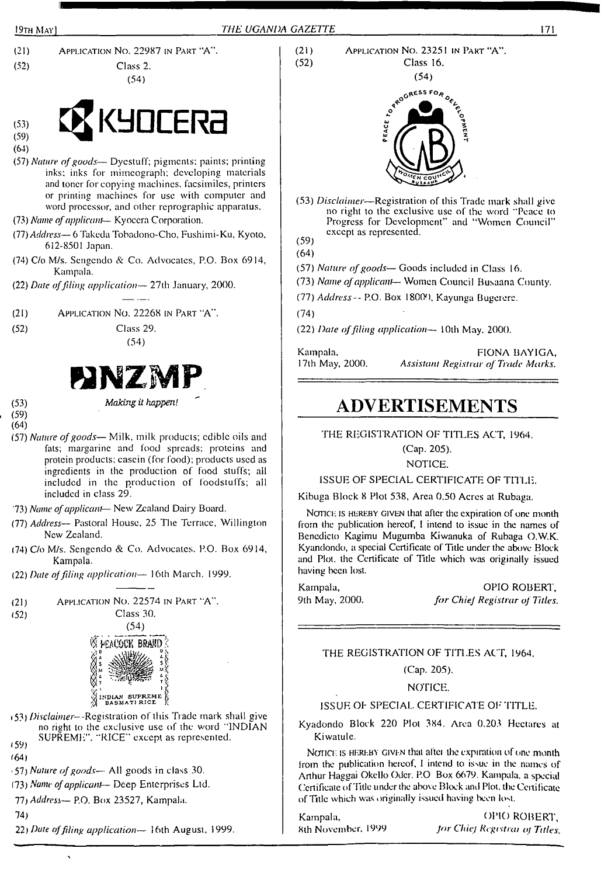



(64)

- (57) *Nature ofgoods—* Dyestuff; pigments: paints; printing inks; inks for mimeograph; developing materials and toner for copying machines, facsimiles, printers or printing machines for use with computer and word processor, and other reprographic apparatus.
- (73) *Name ofapplicant* Kyocera Corporation.
- (77) *Address—* 6 Takeda Tobadono-Cho, Fushimi-Ku, Kyoto, 612-8501 Japan.
- (74) C/o M/s. Sengendo & Co. Advocates, P.O. Box 6914, Kampala.
- (22) *Date offiling application—* 27th January, 2000.
- (21) Application No. 22268 in Part "A".
- (52) Class 29.

(54)



(53) *Making it happen!*

- (59) (64)
- (57) *Nature ofgoods—* Milk, milk products; edible oils and fats; margarine and food spreads; proteins and protein products; casein (for food); products used as ingredients in the production of food stuffs; ail included in the production of foodstuffs; all included in class 29.
- '73) *Name ofapplicant-* New Zealand Dairy Board.
- (77) *Address—* Pastoral House, 25 The Terrace, Willington New Zealand.
- (74) C/o M/s. Sengendo & Co. Advocates. P.O. Box 6914, Kampala.
- (22) *Date ojfiling application—* 16th March. 1999.





- (53) Disclaimer--Registration of this Trade mark shall give no right to the exclusive use of the word ''INDIAN SUPREME". "RICE" except as represented.
- $(59)$
- '64)
- 57) *Nature ofgoods—* All goods in class 30.
- (73) *Name ofapplicant-* Deep Enterprises Ltd.

*11) Address—* P.O. Box 23527, Kampala.

- 74)
- 22) *Date offiling application—* 16th August, 1999.

(21) Application No. 23251 in Part "A". Class 16.



- (53) *Disclaimer—*Registration of this Trade mark shall give no right to the exclusive use of the word "Peace to Progress for Development" and ''Women Council" except as represented.
- (59) (64)

(57) *Nature ofgoods—* Goods included in Class 16.

(73) *Name ofapplicant-*— Women Council Busaana County.

(77) *Address--* P.O. Box 180(H), Kayunga Bugcrere.

(74)

(22) *Date offiling application—* IOth May. 2000.

Kampala, 17th May, 2000. FIONA BAYIGA, *Assistant Registrar of Trade Marks.*

## **ADVERTISEMENTS**

THE REGISTRATION OF TITLES ACT, 1964.

(Cap. 205).

NOTICE.

ISSUE OF SPECIAL CERTIFICATE OF TITLE.

Kibuga Block 8 Plot 538, Area 0.50 Acres at Rubaga.

NOTICE IS HEREBY GIVEN that after the expiration of one month from the publication hereof, <sup>I</sup> intend to issue in the names of Bcnedicto Kagimu Mugumba Kiwanuka of Rubaga O.W.K. Kyandondo, a special Certificate of Title under the above Block and Plot, the Certificate of Title which was originally issued having been lost.

Kampala, OPIO ROBERT, 9th May, 2000. *for Chiej Registrar of Titles.*

THE REGISTRATION OF TITLES ACT, 1964.

(Cap. 205).

NOTICE.

## ISSUE OF SPECIAL CERTIFICATE OF TITLE.

Kyadondo Block 220 Plot 384. Area 0.203 Hectares at Kiwatule.

NOTICE IS HEREBY GIVEN that after the expiration of one month from the publication hereof, I intend to issue in the names of Arthur Haggai Okcllo Oder. P.O Box 6679. Kampala, a special Certificate of Title under the above Block and Plot, the Certificate of Title which was originally issued having been lost.

Kampala, OPIO ROBERT, 8th November. 1999 *Jor Chief Rcgtstrai oj Titles.*